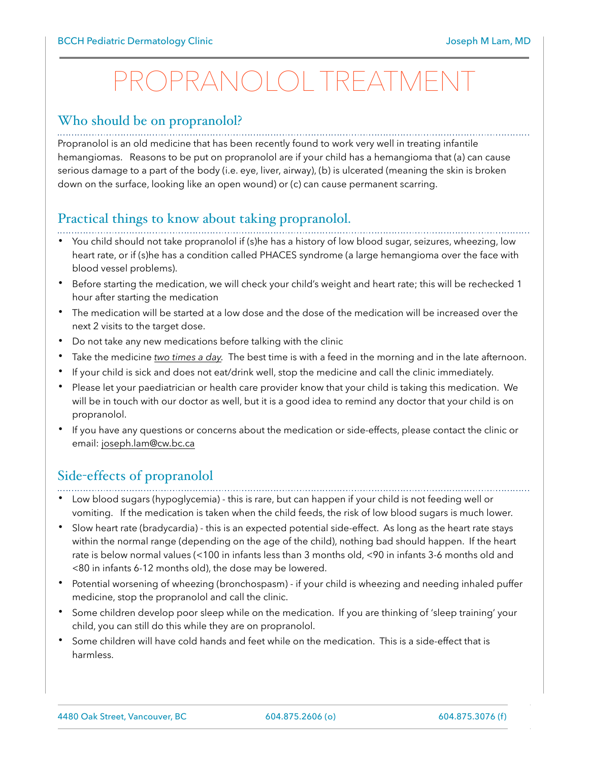## PROPRANOLOL TREATMENT

#### Who should be on propranolol?

Propranolol is an old medicine that has been recently found to work very well in treating infantile hemangiomas. Reasons to be put on propranolol are if your child has a hemangioma that (a) can cause serious damage to a part of the body (i.e. eye, liver, airway), (b) is ulcerated (meaning the skin is broken down on the surface, looking like an open wound) or (c) can cause permanent scarring.

### Practical things to know about taking propranolol.

- You child should not take propranolol if (s)he has a history of low blood sugar, seizures, wheezing, low heart rate, or if (s)he has a condition called PHACES syndrome (a large hemangioma over the face with blood vessel problems).
- Before starting the medication, we will check your child's weight and heart rate; this will be rechecked 1 hour after starting the medication
- The medication will be started at a low dose and the dose of the medication will be increased over the next 2 visits to the target dose.
- Do not take any new medications before talking with the clinic
- Take the medicine *two times a day.* The best time is with a feed in the morning and in the late afternoon.
- If your child is sick and does not eat/drink well, stop the medicine and call the clinic immediately.
- Please let your paediatrician or health care provider know that your child is taking this medication. We will be in touch with our doctor as well, but it is a good idea to remind any doctor that your child is on propranolol.
- If you have any questions or concerns about the medication or side-effects, please contact the clinic or email: [joseph.lam@cw.bc.ca](mailto:joseph.lam@cw.bc.ca)

#### Side-effects of propranolol

- • Low blood sugars (hypoglycemia) - this is rare, but can happen if your child is not feeding well or vomiting. If the medication is taken when the child feeds, the risk of low blood sugars is much lower.
- Slow heart rate (bradycardia) this is an expected potential side-effect. As long as the heart rate stays within the normal range (depending on the age of the child), nothing bad should happen. If the heart rate is below normal values (<100 in infants less than 3 months old, <90 in infants 3-6 months old and <80 in infants 6-12 months old), the dose may be lowered.
- Potential worsening of wheezing (bronchospasm) if your child is wheezing and needing inhaled puffer medicine, stop the propranolol and call the clinic.
- Some children develop poor sleep while on the medication. If you are thinking of 'sleep training' your child, you can still do this while they are on propranolol.
- Some children will have cold hands and feet while on the medication. This is a side-effect that is harmless.